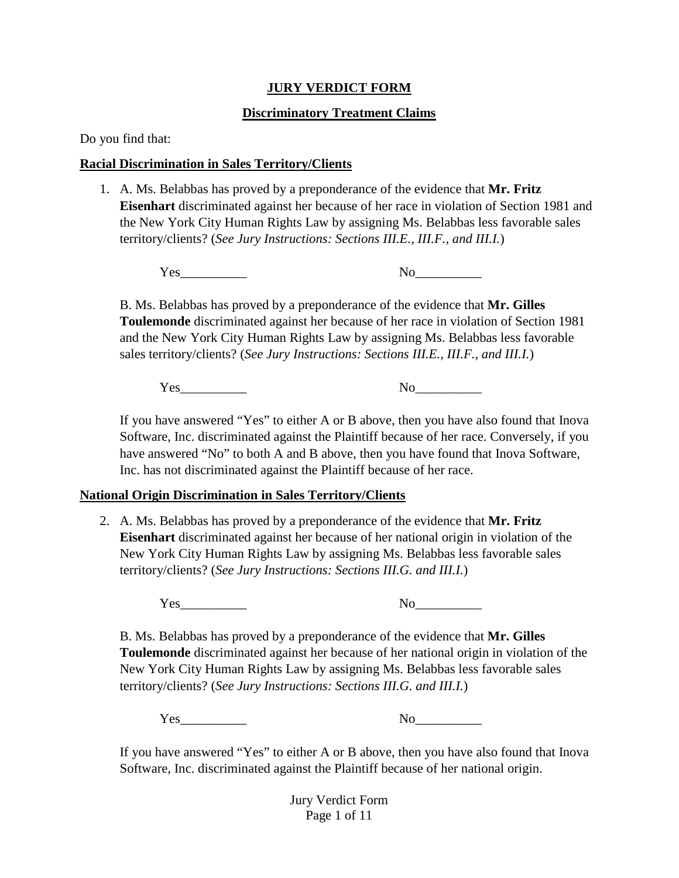### **JURY VERDICT FORM**

## **Discriminatory Treatment Claims**

Do you find that:

# **Racial Discrimination in Sales Territory/Clients**

1. A. Ms. Belabbas has proved by a preponderance of the evidence that **Mr. Fritz Eisenhart** discriminated against her because of her race in violation of Section 1981 and the New York City Human Rights Law by assigning Ms. Belabbas less favorable sales territory/clients? (*See Jury Instructions: Sections III.E., III.F., and III.I.*)

Yes\_\_\_\_\_\_\_\_\_\_ No\_\_\_\_\_\_\_\_\_\_

B. Ms. Belabbas has proved by a preponderance of the evidence that **Mr. Gilles Toulemonde** discriminated against her because of her race in violation of Section 1981 and the New York City Human Rights Law by assigning Ms. Belabbas less favorable sales territory/clients? (*See Jury Instructions: Sections III.E., III.F., and III.I.*)

Yes\_\_\_\_\_\_\_\_\_\_ No\_\_\_\_\_\_\_\_\_\_

If you have answered "Yes" to either A or B above, then you have also found that Inova Software, Inc. discriminated against the Plaintiff because of her race. Conversely, if you have answered "No" to both A and B above, then you have found that Inova Software, Inc. has not discriminated against the Plaintiff because of her race.

## **National Origin Discrimination in Sales Territory/Clients**

2. A. Ms. Belabbas has proved by a preponderance of the evidence that **Mr. Fritz Eisenhart** discriminated against her because of her national origin in violation of the New York City Human Rights Law by assigning Ms. Belabbas less favorable sales territory/clients? (*See Jury Instructions: Sections III.G. and III.I.*)

Yes No

B. Ms. Belabbas has proved by a preponderance of the evidence that **Mr. Gilles Toulemonde** discriminated against her because of her national origin in violation of the New York City Human Rights Law by assigning Ms. Belabbas less favorable sales territory/clients? (*See Jury Instructions: Sections III.G. and III.I.*)

Yes No

If you have answered "Yes" to either A or B above, then you have also found that Inova Software, Inc. discriminated against the Plaintiff because of her national origin.

> Jury Verdict Form Page 1 of 11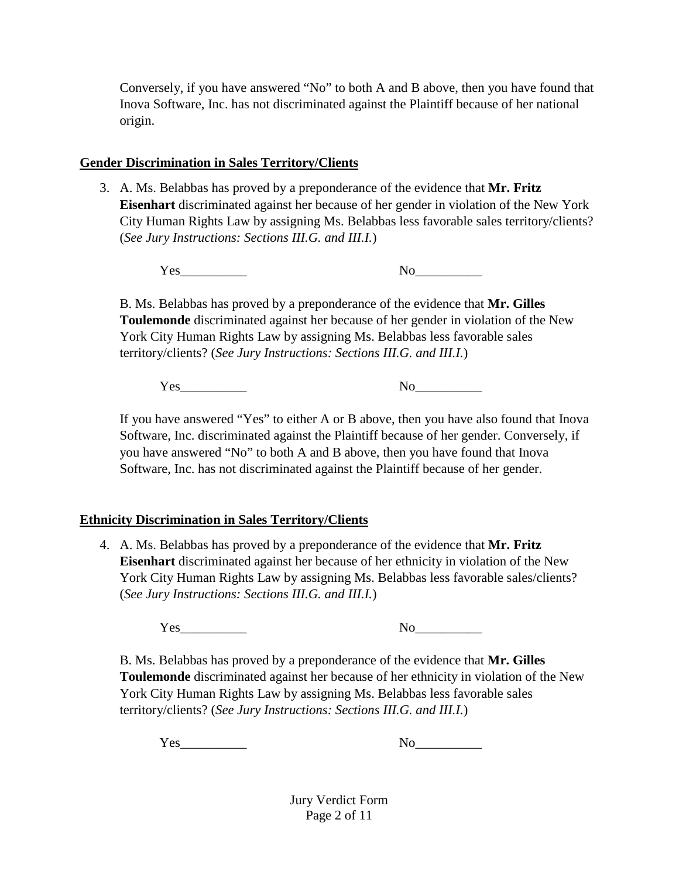Conversely, if you have answered "No" to both A and B above, then you have found that Inova Software, Inc. has not discriminated against the Plaintiff because of her national origin.

# **Gender Discrimination in Sales Territory/Clients**

3. A. Ms. Belabbas has proved by a preponderance of the evidence that **Mr. Fritz Eisenhart** discriminated against her because of her gender in violation of the New York City Human Rights Law by assigning Ms. Belabbas less favorable sales territory/clients? (*See Jury Instructions: Sections III.G. and III.I.*)

Yes\_\_\_\_\_\_\_\_\_\_ No\_\_\_\_\_\_\_\_\_\_

B. Ms. Belabbas has proved by a preponderance of the evidence that **Mr. Gilles Toulemonde** discriminated against her because of her gender in violation of the New York City Human Rights Law by assigning Ms. Belabbas less favorable sales territory/clients? (*See Jury Instructions: Sections III.G. and III.I.*)

Yes No

If you have answered "Yes" to either A or B above, then you have also found that Inova Software, Inc. discriminated against the Plaintiff because of her gender. Conversely, if you have answered "No" to both A and B above, then you have found that Inova Software, Inc. has not discriminated against the Plaintiff because of her gender.

## **Ethnicity Discrimination in Sales Territory/Clients**

4. A. Ms. Belabbas has proved by a preponderance of the evidence that **Mr. Fritz Eisenhart** discriminated against her because of her ethnicity in violation of the New York City Human Rights Law by assigning Ms. Belabbas less favorable sales/clients? (*See Jury Instructions: Sections III.G. and III.I.*)

Yes No

B. Ms. Belabbas has proved by a preponderance of the evidence that **Mr. Gilles Toulemonde** discriminated against her because of her ethnicity in violation of the New York City Human Rights Law by assigning Ms. Belabbas less favorable sales territory/clients? (*See Jury Instructions: Sections III.G. and III.I.*)

Yes\_\_\_\_\_\_\_\_\_\_ No\_\_\_\_\_\_\_\_\_\_

Jury Verdict Form Page 2 of 11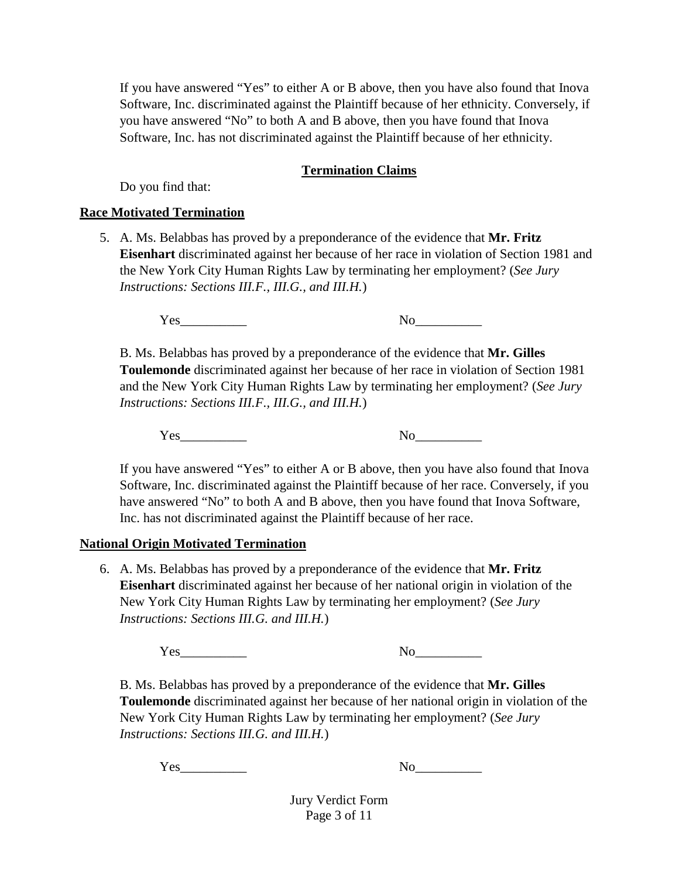If you have answered "Yes" to either A or B above, then you have also found that Inova Software, Inc. discriminated against the Plaintiff because of her ethnicity. Conversely, if you have answered "No" to both A and B above, then you have found that Inova Software, Inc. has not discriminated against the Plaintiff because of her ethnicity.

### **Termination Claims**

Do you find that:

#### **Race Motivated Termination**

5. A. Ms. Belabbas has proved by a preponderance of the evidence that **Mr. Fritz Eisenhart** discriminated against her because of her race in violation of Section 1981 and the New York City Human Rights Law by terminating her employment? (*See Jury Instructions: Sections III.F., III.G., and III.H.*)

 $Yes$  No

B. Ms. Belabbas has proved by a preponderance of the evidence that **Mr. Gilles Toulemonde** discriminated against her because of her race in violation of Section 1981 and the New York City Human Rights Law by terminating her employment? (*See Jury Instructions: Sections III.F., III.G., and III.H.*)

Yes\_\_\_\_\_\_\_\_\_\_ No\_\_\_\_\_\_\_\_\_\_

If you have answered "Yes" to either A or B above, then you have also found that Inova Software, Inc. discriminated against the Plaintiff because of her race. Conversely, if you have answered "No" to both A and B above, then you have found that Inova Software, Inc. has not discriminated against the Plaintiff because of her race.

## **National Origin Motivated Termination**

6. A. Ms. Belabbas has proved by a preponderance of the evidence that **Mr. Fritz Eisenhart** discriminated against her because of her national origin in violation of the New York City Human Rights Law by terminating her employment? (*See Jury Instructions: Sections III.G. and III.H.*)

Yes No

B. Ms. Belabbas has proved by a preponderance of the evidence that **Mr. Gilles Toulemonde** discriminated against her because of her national origin in violation of the New York City Human Rights Law by terminating her employment? (*See Jury Instructions: Sections III.G. and III.H.*)

Yes\_\_\_\_\_\_\_\_\_\_ No\_\_\_\_\_\_\_\_\_\_

Jury Verdict Form Page 3 of 11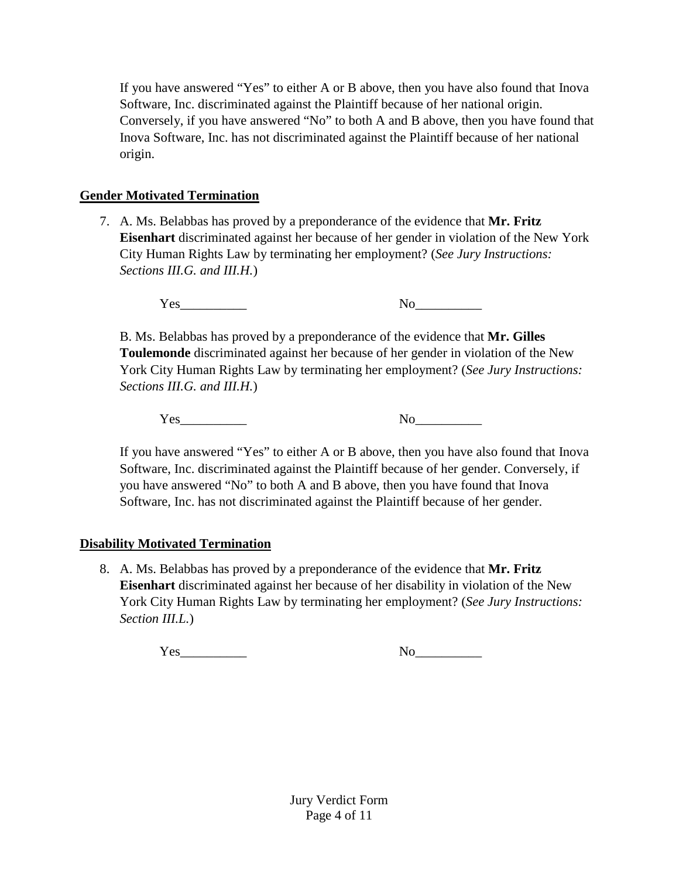If you have answered "Yes" to either A or B above, then you have also found that Inova Software, Inc. discriminated against the Plaintiff because of her national origin. Conversely, if you have answered "No" to both A and B above, then you have found that Inova Software, Inc. has not discriminated against the Plaintiff because of her national origin.

# **Gender Motivated Termination**

7. A. Ms. Belabbas has proved by a preponderance of the evidence that **Mr. Fritz Eisenhart** discriminated against her because of her gender in violation of the New York City Human Rights Law by terminating her employment? (*See Jury Instructions: Sections III.G. and III.H.*)

Yes No

B. Ms. Belabbas has proved by a preponderance of the evidence that **Mr. Gilles Toulemonde** discriminated against her because of her gender in violation of the New York City Human Rights Law by terminating her employment? (*See Jury Instructions: Sections III.G. and III.H.*)

Yes No

If you have answered "Yes" to either A or B above, then you have also found that Inova Software, Inc. discriminated against the Plaintiff because of her gender. Conversely, if you have answered "No" to both A and B above, then you have found that Inova Software, Inc. has not discriminated against the Plaintiff because of her gender.

# **Disability Motivated Termination**

8. A. Ms. Belabbas has proved by a preponderance of the evidence that **Mr. Fritz Eisenhart** discriminated against her because of her disability in violation of the New York City Human Rights Law by terminating her employment? (*See Jury Instructions: Section III.L.*)

Yes No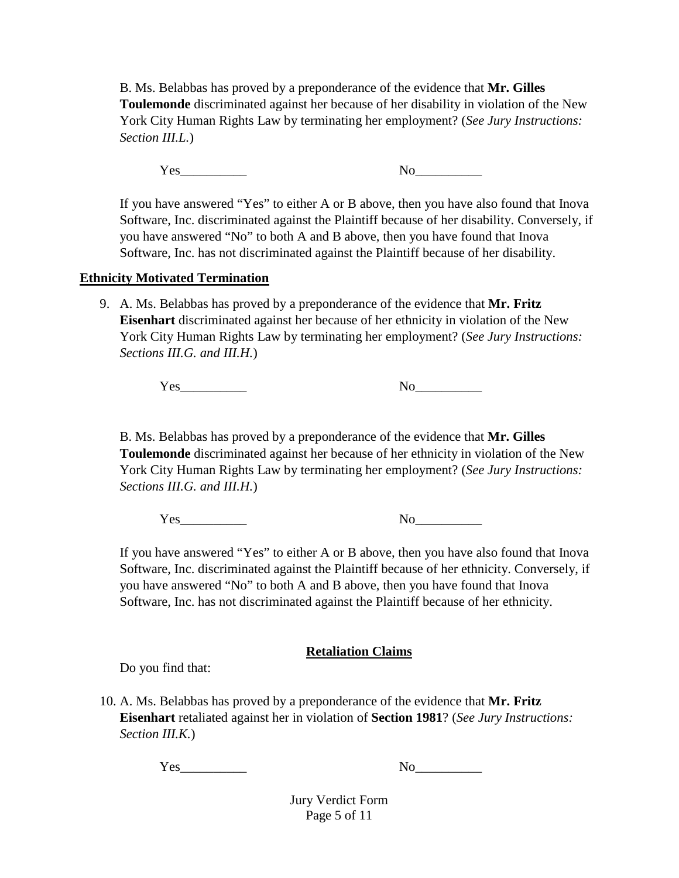B. Ms. Belabbas has proved by a preponderance of the evidence that **Mr. Gilles Toulemonde** discriminated against her because of her disability in violation of the New York City Human Rights Law by terminating her employment? (*See Jury Instructions: Section III.L.*)

Yes No

If you have answered "Yes" to either A or B above, then you have also found that Inova Software, Inc. discriminated against the Plaintiff because of her disability. Conversely, if you have answered "No" to both A and B above, then you have found that Inova Software, Inc. has not discriminated against the Plaintiff because of her disability.

## **Ethnicity Motivated Termination**

9. A. Ms. Belabbas has proved by a preponderance of the evidence that **Mr. Fritz Eisenhart** discriminated against her because of her ethnicity in violation of the New York City Human Rights Law by terminating her employment? (*See Jury Instructions: Sections III.G. and III.H.*)

Yes\_\_\_\_\_\_\_\_\_\_ No\_\_\_\_\_\_\_\_\_\_

B. Ms. Belabbas has proved by a preponderance of the evidence that **Mr. Gilles Toulemonde** discriminated against her because of her ethnicity in violation of the New York City Human Rights Law by terminating her employment? (*See Jury Instructions: Sections III.G. and III.H.*)

Yes No

If you have answered "Yes" to either A or B above, then you have also found that Inova Software, Inc. discriminated against the Plaintiff because of her ethnicity. Conversely, if you have answered "No" to both A and B above, then you have found that Inova Software, Inc. has not discriminated against the Plaintiff because of her ethnicity.

## **Retaliation Claims**

Do you find that:

10. A. Ms. Belabbas has proved by a preponderance of the evidence that **Mr. Fritz Eisenhart** retaliated against her in violation of **Section 1981**? (*See Jury Instructions: Section III.K.*)

Yes\_\_\_\_\_\_\_\_\_\_ No\_\_\_\_\_\_\_\_\_\_

Jury Verdict Form Page 5 of 11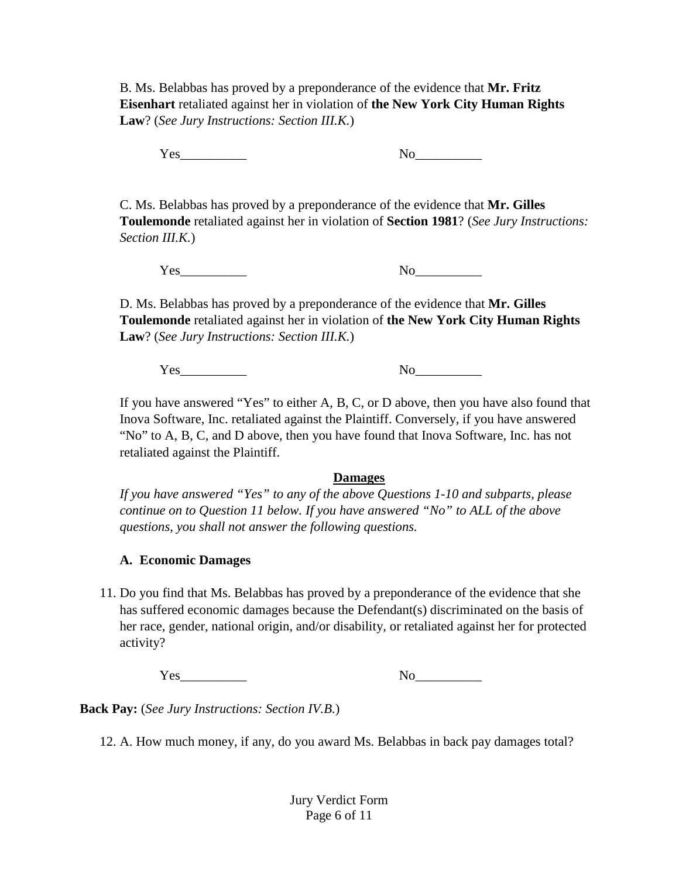B. Ms. Belabbas has proved by a preponderance of the evidence that **Mr. Fritz Eisenhart** retaliated against her in violation of **the New York City Human Rights Law**? (*See Jury Instructions: Section III.K.*)

Yes\_\_\_\_\_\_\_\_\_\_ No\_\_\_\_\_\_\_\_\_\_

C. Ms. Belabbas has proved by a preponderance of the evidence that **Mr. Gilles Toulemonde** retaliated against her in violation of **Section 1981**? (*See Jury Instructions: Section III.K.*)

Yes\_\_\_\_\_\_\_\_\_\_ No\_\_\_\_\_\_\_\_\_\_

D. Ms. Belabbas has proved by a preponderance of the evidence that **Mr. Gilles Toulemonde** retaliated against her in violation of **the New York City Human Rights Law**? (*See Jury Instructions: Section III.K.*)

Yes\_\_\_\_\_\_\_\_\_\_ No\_\_\_\_\_\_\_\_\_\_

If you have answered "Yes" to either A, B, C, or D above, then you have also found that Inova Software, Inc. retaliated against the Plaintiff. Conversely, if you have answered "No" to A, B, C, and D above, then you have found that Inova Software, Inc. has not retaliated against the Plaintiff.

## **Damages**

*If you have answered "Yes" to any of the above Questions 1-10 and subparts, please continue on to Question 11 below. If you have answered "No" to ALL of the above questions, you shall not answer the following questions.*

## **A. Economic Damages**

11. Do you find that Ms. Belabbas has proved by a preponderance of the evidence that she has suffered economic damages because the Defendant(s) discriminated on the basis of her race, gender, national origin, and/or disability, or retaliated against her for protected activity?

Yes\_\_\_\_\_\_\_\_\_\_ No\_\_\_\_\_\_\_\_\_\_

**Back Pay:** (*See Jury Instructions: Section IV.B.*)

12. A. How much money, if any, do you award Ms. Belabbas in back pay damages total?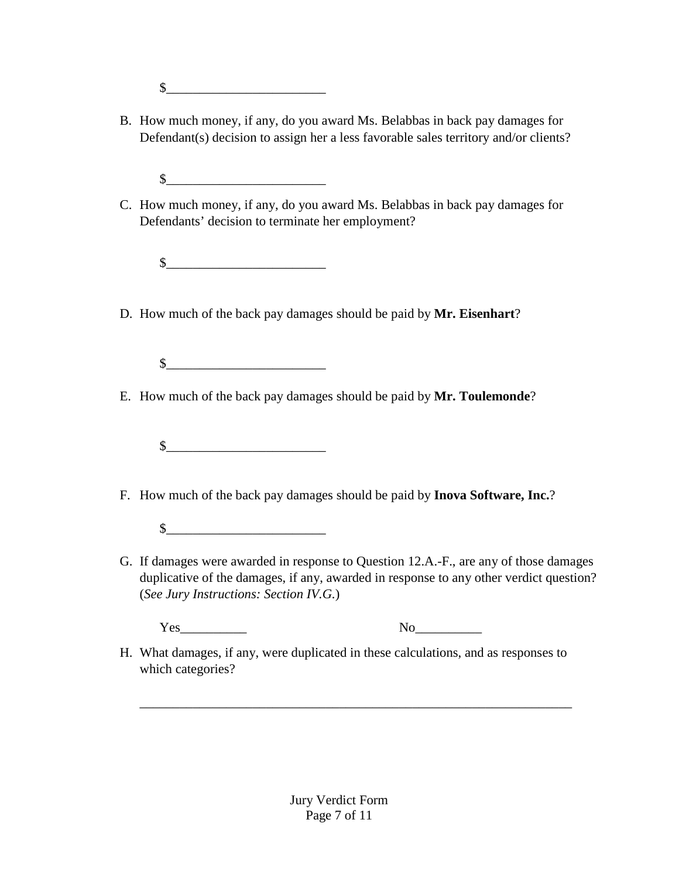$\mathbb{S}$ 

- B. How much money, if any, do you award Ms. Belabbas in back pay damages for Defendant(s) decision to assign her a less favorable sales territory and/or clients?
	- $\frac{\sqrt{2}}{2}$
- C. How much money, if any, do you award Ms. Belabbas in back pay damages for Defendants' decision to terminate her employment?

 $\mathbb{S}$ 

- D. How much of the back pay damages should be paid by **Mr. Eisenhart**?
	- $\circ$
- E. How much of the back pay damages should be paid by **Mr. Toulemonde**?
	- $\frac{1}{2}$
- F. How much of the back pay damages should be paid by **Inova Software, Inc.**?
	- $\circ$
- G. If damages were awarded in response to Question 12.A.-F., are any of those damages duplicative of the damages, if any, awarded in response to any other verdict question? (*See Jury Instructions: Section IV.G.*)

Yes\_\_\_\_\_\_\_\_\_\_ No\_\_\_\_\_\_\_\_\_\_

H. What damages, if any, were duplicated in these calculations, and as responses to which categories?

\_\_\_\_\_\_\_\_\_\_\_\_\_\_\_\_\_\_\_\_\_\_\_\_\_\_\_\_\_\_\_\_\_\_\_\_\_\_\_\_\_\_\_\_\_\_\_\_\_\_\_\_\_\_\_\_\_\_\_\_\_\_\_\_\_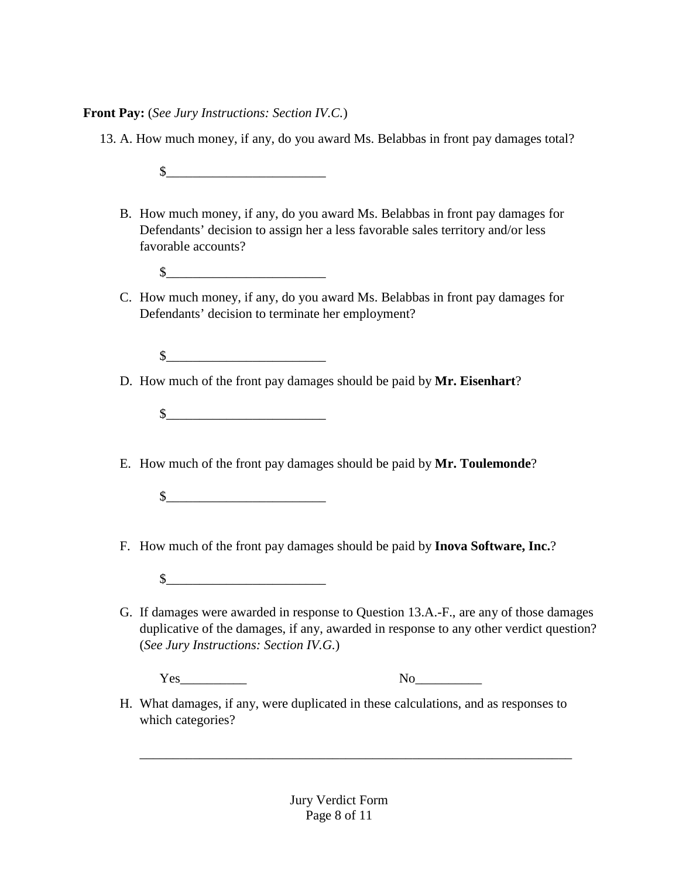**Front Pay:** (*See Jury Instructions: Section IV.C.*)

13. A. How much money, if any, do you award Ms. Belabbas in front pay damages total?

 $\mathbb$ 

- B. How much money, if any, do you award Ms. Belabbas in front pay damages for Defendants' decision to assign her a less favorable sales territory and/or less favorable accounts?
	- $\frac{1}{2}$
- C. How much money, if any, do you award Ms. Belabbas in front pay damages for Defendants' decision to terminate her employment?

 $\mathbb{S}$ 

- D. How much of the front pay damages should be paid by **Mr. Eisenhart**?
	- $\frac{1}{2}$
- E. How much of the front pay damages should be paid by **Mr. Toulemonde**?

 $\frac{1}{2}$ 

- F. How much of the front pay damages should be paid by **Inova Software, Inc.**?
	- $\mathbb{S}$
- G. If damages were awarded in response to Question 13.A.-F., are any of those damages duplicative of the damages, if any, awarded in response to any other verdict question? (*See Jury Instructions: Section IV.G.*)

Yes No

H. What damages, if any, were duplicated in these calculations, and as responses to which categories?

\_\_\_\_\_\_\_\_\_\_\_\_\_\_\_\_\_\_\_\_\_\_\_\_\_\_\_\_\_\_\_\_\_\_\_\_\_\_\_\_\_\_\_\_\_\_\_\_\_\_\_\_\_\_\_\_\_\_\_\_\_\_\_\_\_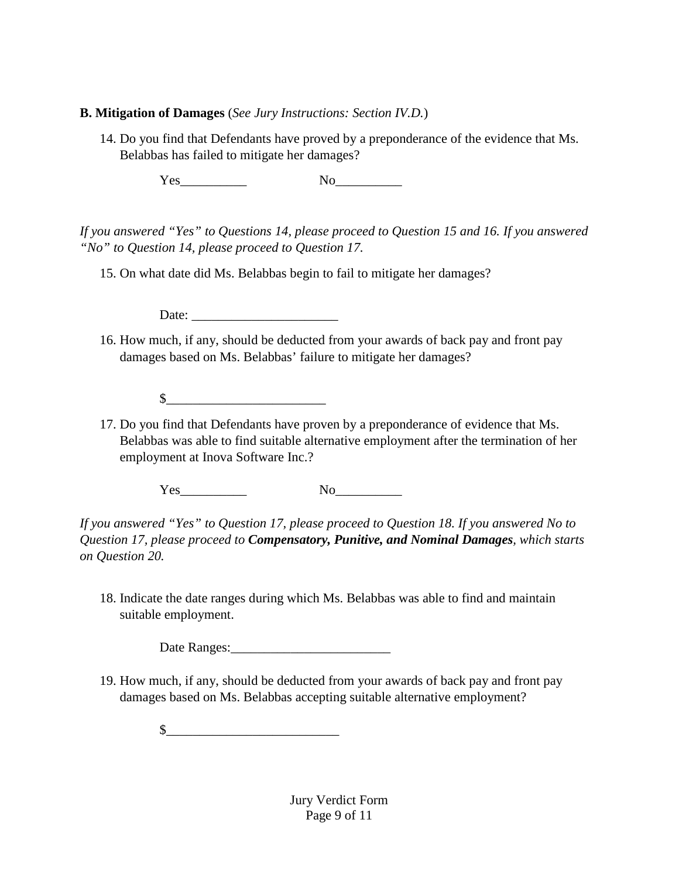#### **B. Mitigation of Damages** (*See Jury Instructions: Section IV.D.*)

14. Do you find that Defendants have proved by a preponderance of the evidence that Ms. Belabbas has failed to mitigate her damages?

Yes\_\_\_\_\_\_\_\_\_\_ No\_\_\_\_\_\_\_\_\_\_

*If you answered "Yes" to Questions 14, please proceed to Question 15 and 16. If you answered "No" to Question 14, please proceed to Question 17.*

15. On what date did Ms. Belabbas begin to fail to mitigate her damages?

Date:

16. How much, if any, should be deducted from your awards of back pay and front pay damages based on Ms. Belabbas' failure to mitigate her damages?

 $\circ$ 

17. Do you find that Defendants have proven by a preponderance of evidence that Ms. Belabbas was able to find suitable alternative employment after the termination of her employment at Inova Software Inc.?

Yes\_\_\_\_\_\_\_\_\_\_ No\_\_\_\_\_\_\_\_\_\_

*If you answered "Yes" to Question 17, please proceed to Question 18. If you answered No to Question 17, please proceed to Compensatory, Punitive, and Nominal Damages, which starts on Question 20.*

18. Indicate the date ranges during which Ms. Belabbas was able to find and maintain suitable employment.

Date Ranges:

19. How much, if any, should be deducted from your awards of back pay and front pay damages based on Ms. Belabbas accepting suitable alternative employment?

 $\frac{1}{2}$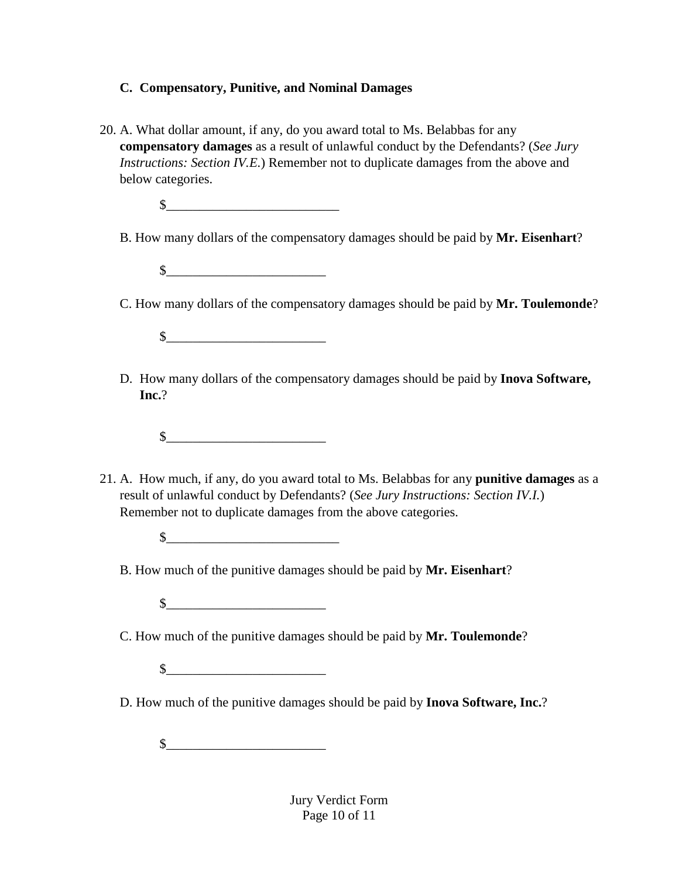# **C. Compensatory, Punitive, and Nominal Damages**

20. A. What dollar amount, if any, do you award total to Ms. Belabbas for any **compensatory damages** as a result of unlawful conduct by the Defendants? (*See Jury Instructions: Section IV.E.*) Remember not to duplicate damages from the above and below categories.

 $\frac{1}{2}$ 

- B. How many dollars of the compensatory damages should be paid by **Mr. Eisenhart**?
	- $\frac{1}{2}$
- C. How many dollars of the compensatory damages should be paid by **Mr. Toulemonde**?

 $\mathbb{S}$ 

D. How many dollars of the compensatory damages should be paid by **Inova Software, Inc.**?

 $\frac{1}{2}$ 

- 21. A. How much, if any, do you award total to Ms. Belabbas for any **punitive damages** as a result of unlawful conduct by Defendants? (*See Jury Instructions: Section IV.I.*) Remember not to duplicate damages from the above categories.
	- $\mathbb{S}$
	- B. How much of the punitive damages should be paid by **Mr. Eisenhart**?

 $\mathbb{S}$ 

C. How much of the punitive damages should be paid by **Mr. Toulemonde**?

- $\circ$
- D. How much of the punitive damages should be paid by **Inova Software, Inc.**?

 $\frac{1}{2}$